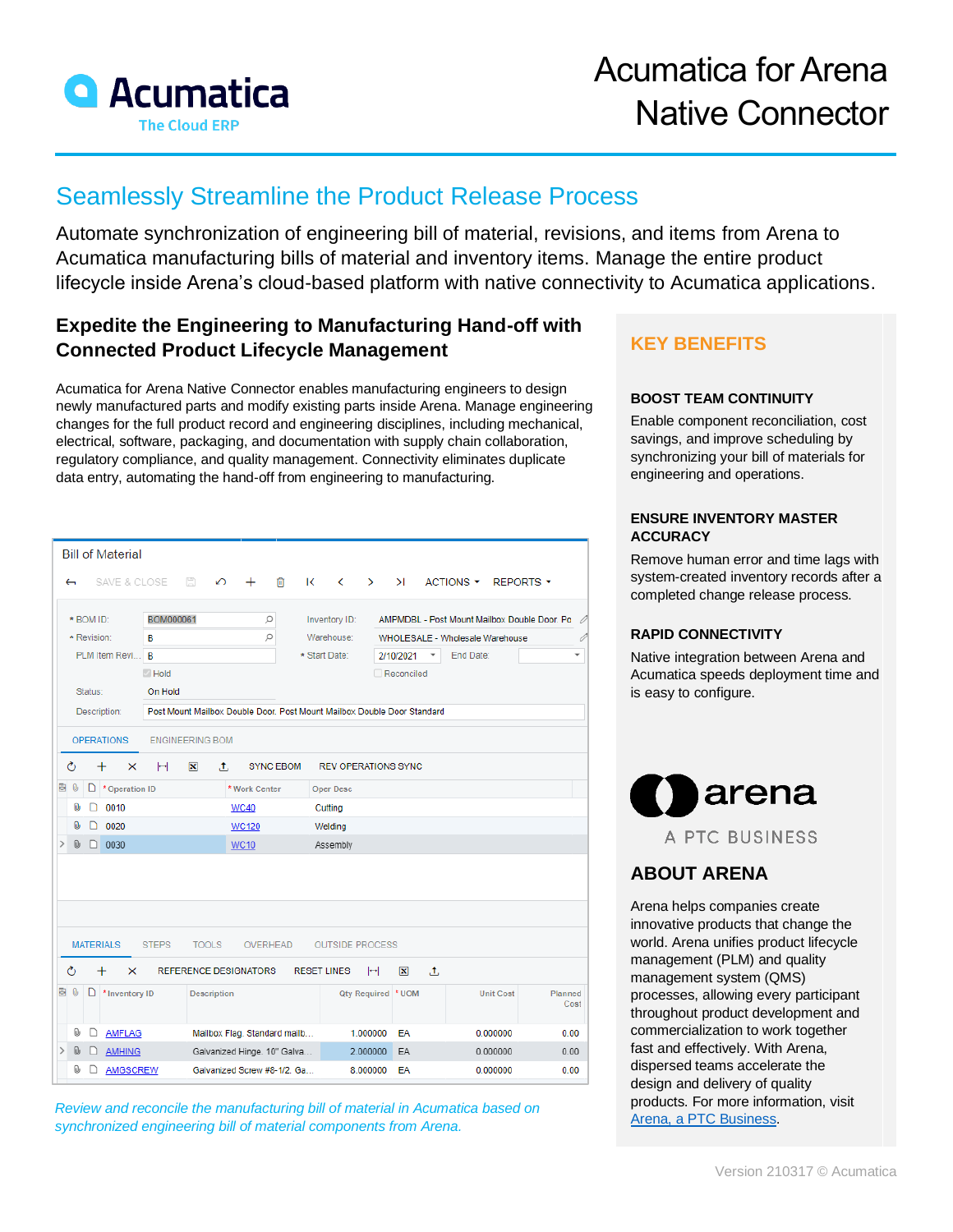

# Seamlessly Streamline the Product Release Process

Automate synchronization of engineering bill of material, revisions, and items from Arena to Acumatica manufacturing bills of material and inventory items. Manage the entire product lifecycle inside Arena's cloud-based platform with native connectivity to Acumatica applications.

### **Expedite the Engineering to Manufacturing Hand-off with Connected Product Lifecycle Management**

Acumatica for Arena Native Connector enables manufacturing engineers to design newly manufactured parts and modify existing parts inside Arena. Manage engineering changes for the full product record and engineering disciplines, including mechanical, electrical, software, packaging, and documentation with supply chain collaboration, regulatory compliance, and quality management. Connectivity eliminates duplicate data entry, automating the hand-off from engineering to manufacturing.

|                          |                    |       | <b>Bill of Material</b> |              |                                                                         |                                              |              |                              |                    |                        |               |                                              |                          |                                 |  |                  |                  |         |                          |
|--------------------------|--------------------|-------|-------------------------|--------------|-------------------------------------------------------------------------|----------------------------------------------|--------------|------------------------------|--------------------|------------------------|---------------|----------------------------------------------|--------------------------|---------------------------------|--|------------------|------------------|---------|--------------------------|
| $\overline{\phantom{m}}$ |                    |       |                         | SAVE & CLOSE | 昌                                                                       | ↶                                            | ÷            | 侕                            | $\mathsf{K}$       | $\langle$              | $\rightarrow$ | >1                                           |                          | ACTIONS *                       |  |                  | <b>REPORTS *</b> |         |                          |
|                          | * BOM ID:          |       |                         | BOM000061    |                                                                         |                                              |              | α                            |                    | Inventory ID:          |               | AMPMDBL - Post Mount Mailbox Double Door. Po |                          |                                 |  |                  |                  |         |                          |
|                          | * Revision:        |       |                         | B            |                                                                         |                                              |              | ρ                            |                    |                        | Warehouse:    |                                              |                          | WHOLESALE - Wholesale Warehouse |  |                  |                  |         |                          |
|                          | PLM Item Revi B    |       |                         |              |                                                                         |                                              |              |                              |                    | * Start Date:          |               | 2/10/2021                                    | $\overline{\phantom{a}}$ | End Date:                       |  |                  |                  |         | $\overline{\phantom{a}}$ |
|                          | Hold               |       |                         |              |                                                                         |                                              |              |                              |                    |                        |               | Reconciled                                   |                          |                                 |  |                  |                  |         |                          |
|                          | Status:<br>On Hold |       |                         |              |                                                                         |                                              |              |                              |                    |                        |               |                                              |                          |                                 |  |                  |                  |         |                          |
|                          | Description:       |       |                         |              | Post Mount Mailbox Double Door, Post Mount Mailbox Double Door Standard |                                              |              |                              |                    |                        |               |                                              |                          |                                 |  |                  |                  |         |                          |
|                          |                    |       |                         |              |                                                                         |                                              |              |                              |                    |                        |               |                                              |                          |                                 |  |                  |                  |         |                          |
|                          |                    |       | <b>OPERATIONS</b>       |              | <b>ENGINEERING BOM</b>                                                  |                                              |              |                              |                    |                        |               |                                              |                          |                                 |  |                  |                  |         |                          |
| Ò                        |                    | $\pm$ | ×                       | н            | $ \mathbf{x} $                                                          | .t.                                          |              | <b>SYNC EBOM</b>             |                    |                        |               | <b>REV OPERATIONS SYNC</b>                   |                          |                                 |  |                  |                  |         |                          |
| 目                        | 0                  |       | $\Box$ * Operation ID   |              |                                                                         | * Work Center                                |              |                              |                    | Oper Desc              |               |                                              |                          |                                 |  |                  |                  |         |                          |
|                          | 0                  | D     | 0010                    |              |                                                                         |                                              | <b>WC40</b>  |                              |                    | Cutting                |               |                                              |                          |                                 |  |                  |                  |         |                          |
|                          | 0                  | D     | 0020                    |              |                                                                         |                                              | <b>WC120</b> |                              |                    | Welding                |               |                                              |                          |                                 |  |                  |                  |         |                          |
|                          | 0                  |       | $\Box$ 0030             |              |                                                                         |                                              | <b>WC10</b>  |                              |                    | Assembly               |               |                                              |                          |                                 |  |                  |                  |         |                          |
|                          |                    |       |                         |              |                                                                         |                                              |              |                              |                    |                        |               |                                              |                          |                                 |  |                  |                  |         |                          |
|                          |                    |       |                         |              |                                                                         |                                              |              |                              |                    |                        |               |                                              |                          |                                 |  |                  |                  |         |                          |
| Ò                        |                    | $\pm$ | <b>MATERIALS</b><br>×   | <b>STEPS</b> |                                                                         | <b>TOOLS</b><br><b>REFERENCE DESIGNATORS</b> |              | OVERHEAD                     | <b>RESET LINES</b> | <b>OUTSIDE PROCESS</b> | ℍ             | $ \mathbf{x} $                               | $\mathbf{.t}$            |                                 |  |                  |                  |         |                          |
| 目                        | 0                  |       | $\Box$ * Inventory ID   |              |                                                                         | <b>Description</b>                           |              |                              |                    |                        |               | Qty Required * UOM                           |                          |                                 |  | <b>Unit Cost</b> |                  | Planned | Cost                     |
|                          | 0                  | D     | <b>AMFLAG</b>           |              |                                                                         |                                              |              | Mailbox Flag. Standard mailb |                    |                        | 1.000000      | EA                                           |                          |                                 |  | 0.000000         |                  |         | 0.00                     |
|                          | 0                  |       | <b>AMHING</b>           |              |                                                                         |                                              |              | Galvanized Hinge. 10" Galva  |                    |                        | 2.000000      | EA                                           |                          |                                 |  | 0.000000         |                  |         | 0.00                     |

*Review and reconcile the manufacturing bill of material in Acumatica based on synchronized engineering bill of material components from Arena.*

## **KEY BENEFITS**

#### **BOOST TEAM CONTINUITY**

Enable component reconciliation, cost savings, and improve scheduling by synchronizing your bill of materials for engineering and operations.

#### **ENSURE INVENTORY MASTER ACCURACY**

Remove human error and time lags with system-created inventory records after a completed change release process.

#### **RAPID CONNECTIVITY**

Native integration between Arena and Acumatica speeds deployment time and is easy to configure.



### **ABOUT ARENA**

Arena helps companies create innovative products that change the world. Arena unifies product lifecycle management (PLM) and quality management system (QMS) processes, allowing every participant throughout product development and commercialization to work together fast and effectively. With Arena, dispersed teams accelerate the design and delivery of quality products. For more information, visit [Arena, a PTC Business.](http://www.arenasolutions.com/)